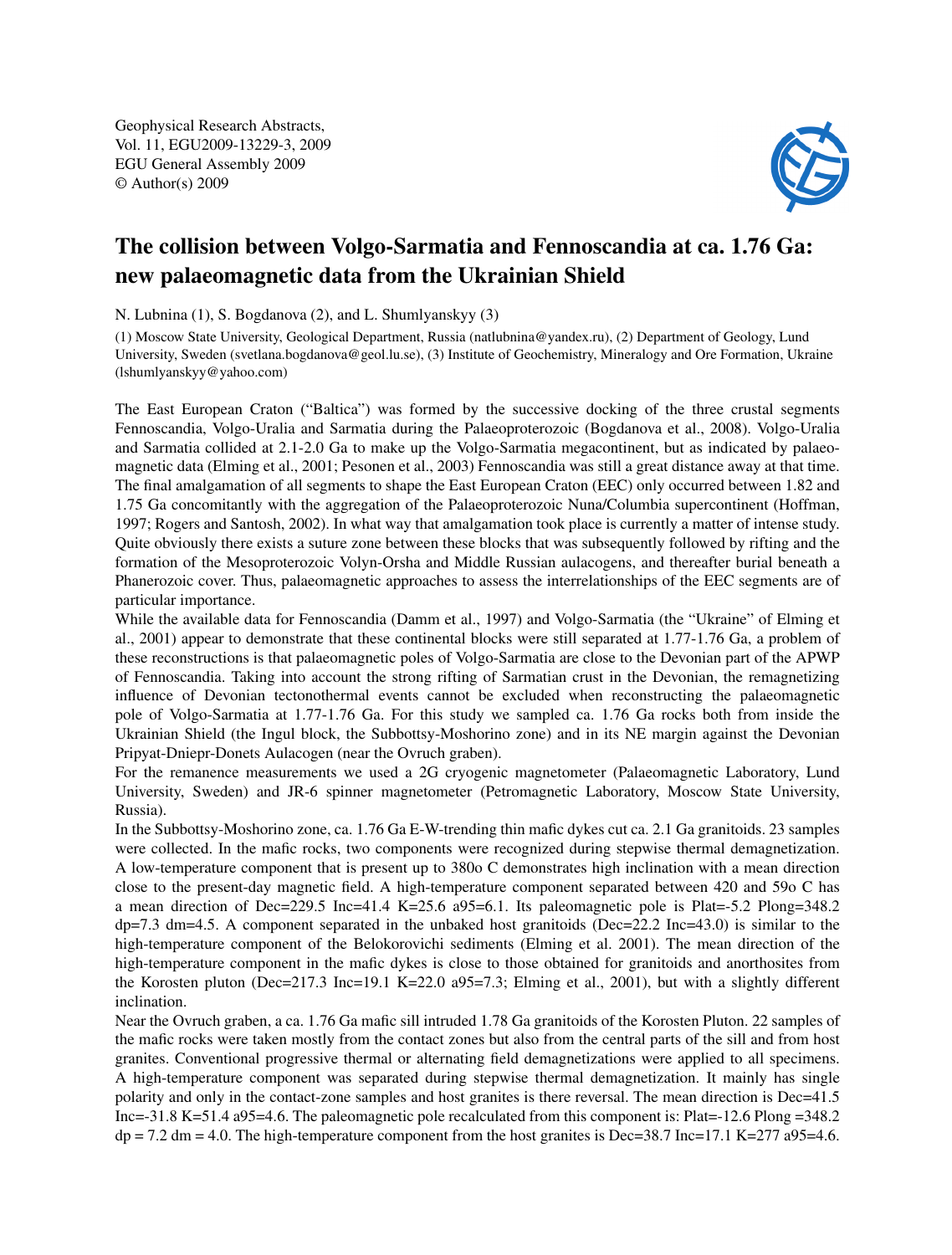Geophysical Research Abstracts, Vol. 11, EGU2009-13229-3, 2009 EGU General Assembly 2009 © Author(s) 2009



## The collision between Volgo-Sarmatia and Fennoscandia at ca. 1.76 Ga: new palaeomagnetic data from the Ukrainian Shield

N. Lubnina (1), S. Bogdanova (2), and L. Shumlyanskyy (3)

(1) Moscow State University, Geological Department, Russia (natlubnina@yandex.ru), (2) Department of Geology, Lund University, Sweden (svetlana.bogdanova@geol.lu.se), (3) Institute of Geochemistry, Mineralogy and Ore Formation, Ukraine (lshumlyanskyy@yahoo.com)

The East European Craton ("Baltica") was formed by the successive docking of the three crustal segments Fennoscandia, Volgo-Uralia and Sarmatia during the Palaeoproterozoic (Bogdanova et al., 2008). Volgo-Uralia and Sarmatia collided at 2.1-2.0 Ga to make up the Volgo-Sarmatia megacontinent, but as indicated by palaeomagnetic data (Elming et al., 2001; Pesonen et al., 2003) Fennoscandia was still a great distance away at that time. The final amalgamation of all segments to shape the East European Craton (EEC) only occurred between 1.82 and 1.75 Ga concomitantly with the aggregation of the Palaeoproterozoic Nuna/Columbia supercontinent (Hoffman, 1997; Rogers and Santosh, 2002). In what way that amalgamation took place is currently a matter of intense study. Quite obviously there exists a suture zone between these blocks that was subsequently followed by rifting and the formation of the Mesoproterozoic Volyn-Orsha and Middle Russian aulacogens, and thereafter burial beneath a Phanerozoic cover. Thus, palaeomagnetic approaches to assess the interrelationships of the EEC segments are of particular importance.

While the available data for Fennoscandia (Damm et al., 1997) and Volgo-Sarmatia (the "Ukraine" of Elming et al., 2001) appear to demonstrate that these continental blocks were still separated at 1.77-1.76 Ga, a problem of these reconstructions is that palaeomagnetic poles of Volgo-Sarmatia are close to the Devonian part of the APWP of Fennoscandia. Taking into account the strong rifting of Sarmatian crust in the Devonian, the remagnetizing influence of Devonian tectonothermal events cannot be excluded when reconstructing the palaeomagnetic pole of Volgo-Sarmatia at 1.77-1.76 Ga. For this study we sampled ca. 1.76 Ga rocks both from inside the Ukrainian Shield (the Ingul block, the Subbottsy-Moshorino zone) and in its NE margin against the Devonian Pripyat-Dniepr-Donets Aulacogen (near the Ovruch graben).

For the remanence measurements we used a 2G cryogenic magnetometer (Palaeomagnetic Laboratory, Lund University, Sweden) and JR-6 spinner magnetometer (Petromagnetic Laboratory, Moscow State University, Russia).

In the Subbottsy-Moshorino zone, ca. 1.76 Ga E-W-trending thin mafic dykes cut ca. 2.1 Ga granitoids. 23 samples were collected. In the mafic rocks, two components were recognized during stepwise thermal demagnetization. A low-temperature component that is present up to 380o C demonstrates high inclination with a mean direction close to the present-day magnetic field. A high-temperature component separated between 420 and 59o C has a mean direction of Dec=229.5 Inc=41.4 K=25.6 a95=6.1. Its paleomagnetic pole is Plat=-5.2 Plong=348.2  $dp=7.3$  dm=4.5. A component separated in the unbaked host granitoids (Dec=22.2 Inc=43.0) is similar to the high-temperature component of the Belokorovichi sediments (Elming et al. 2001). The mean direction of the high-temperature component in the mafic dykes is close to those obtained for granitoids and anorthosites from the Korosten pluton (Dec=217.3 Inc=19.1 K=22.0 a95=7.3; Elming et al., 2001), but with a slightly different inclination.

Near the Ovruch graben, a ca. 1.76 Ga mafic sill intruded 1.78 Ga granitoids of the Korosten Pluton. 22 samples of the mafic rocks were taken mostly from the contact zones but also from the central parts of the sill and from host granites. Conventional progressive thermal or alternating field demagnetizations were applied to all specimens. A high-temperature component was separated during stepwise thermal demagnetization. It mainly has single polarity and only in the contact-zone samples and host granites is there reversal. The mean direction is Dec=41.5 Inc=-31.8 K=51.4 a95=4.6. The paleomagnetic pole recalculated from this component is: Plat=-12.6 Plong =348.2  $dp = 7.2$  dm = 4.0. The high-temperature component from the host granites is Dec=38.7 Inc=17.1 K=277 a95=4.6.